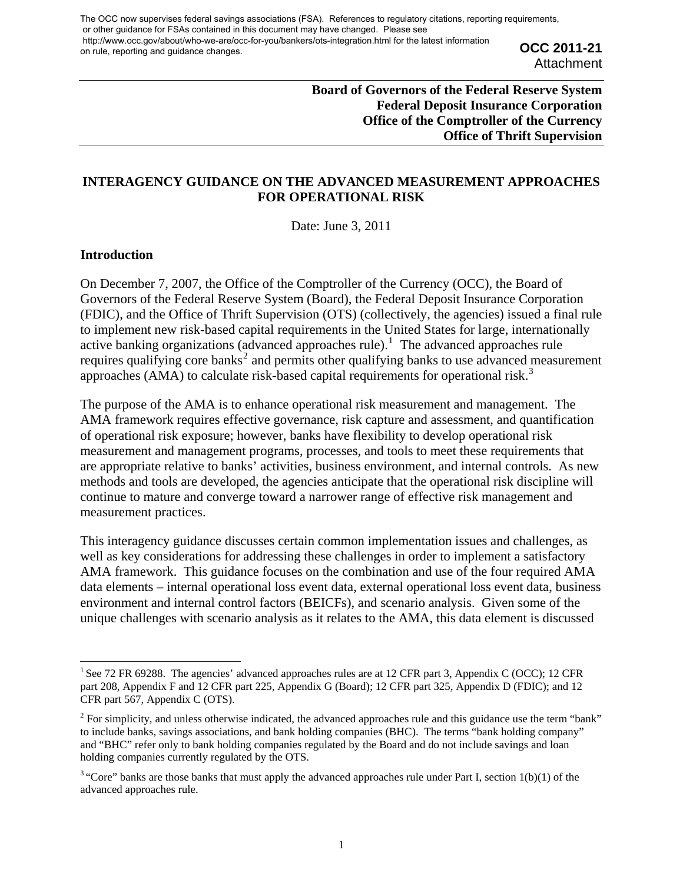**OCC 2011-21 Attachment** 

# **Board of Governors of the Federal Reserve System Federal Deposit Insurance Corporation Office of the Comptroller of the Currency Office of Thrift Supervision**

# **INTERAGENCY GUIDANCE ON THE ADVANCED MEASUREMENT APPROACHES FOR OPERATIONAL RISK**

Date: June 3, 2011

#### **Introduction**

On December 7, 2007, the Office of the Comptroller of the Currency (OCC), the Board of Governors of the Federal Reserve System (Board), the Federal Deposit Insurance Corporation (FDIC), and the Office of Thrift Supervision (OTS) (collectively, the agencies) issued a final rule to implement new risk-based capital requirements in the United States for large, internationally active banking organizations (advanced approaches rule).<sup>[1](#page-0-0)</sup> The advanced approaches rule requires qualifying core banks<sup>[2](#page-0-1)</sup> and permits other qualifying banks to use advanced measurement approaches (AMA) to calculate risk-based capital requirements for operational risk.<sup>[3](#page-0-2)</sup>

The purpose of the AMA is to enhance operational risk measurement and management. The AMA framework requires effective governance, risk capture and assessment, and quantification of operational risk exposure; however, banks have flexibility to develop operational risk measurement and management programs, processes, and tools to meet these requirements that are appropriate relative to banks' activities, business environment, and internal controls. As new methods and tools are developed, the agencies anticipate that the operational risk discipline will continue to mature and converge toward a narrower range of effective risk management and measurement practices.

This interagency guidance discusses certain common implementation issues and challenges, as well as key considerations for addressing these challenges in order to implement a satisfactory AMA framework. This guidance focuses on the combination and use of the four required AMA data elements – internal operational loss event data, external operational loss event data, business environment and internal control factors (BEICFs), and scenario analysis. Given some of the unique challenges with scenario analysis as it relates to the AMA, this data element is discussed

<span id="page-0-0"></span><sup>&</sup>lt;sup>1</sup> See 72 FR 69288. The agencies' advanced approaches rules are at 12 CFR part 3, Appendix C (OCC); 12 CFR part 208, Appendix F and 12 CFR part 225, Appendix G (Board); 12 CFR part 325, Appendix D (FDIC); and 12 CFR part 567, Appendix C (OTS).

<span id="page-0-1"></span><sup>&</sup>lt;sup>2</sup> For simplicity, and unless otherwise indicated, the advanced approaches rule and this guidance use the term "bank" to include banks, savings associations, and bank holding companies (BHC). The terms "bank holding company" and "BHC" refer only to bank holding companies regulated by the Board and do not include savings and loan holding companies currently regulated by the OTS.

<span id="page-0-2"></span> $3$  "Core" banks are those banks that must apply the advanced approaches rule under Part I, section 1(b)(1) of the advanced approaches rule.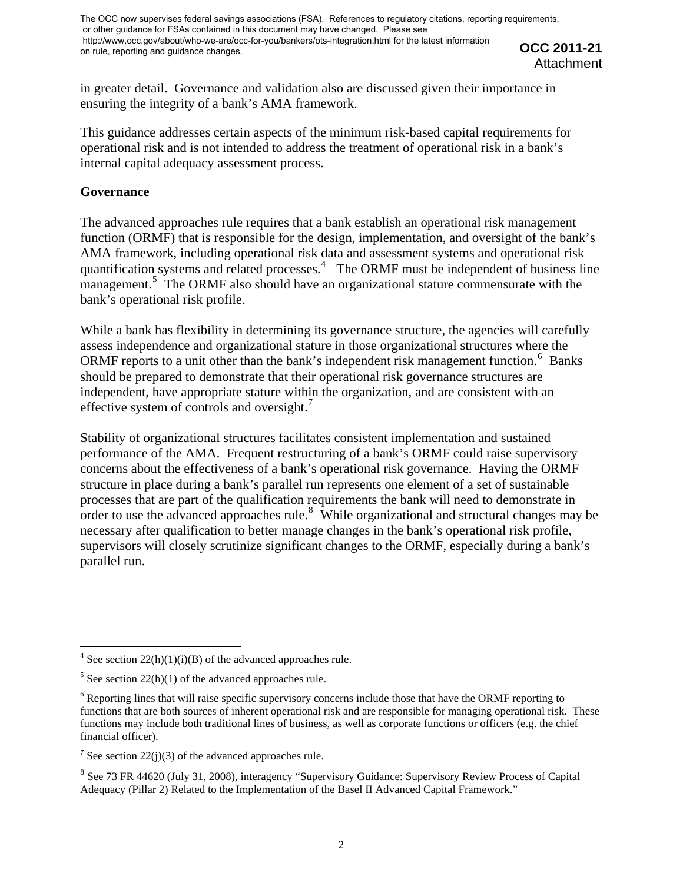**OCC 2011-21 Attachment** 

in greater detail. Governance and validation also are discussed given their importance in ensuring the integrity of a bank's AMA framework.

This guidance addresses certain aspects of the minimum risk-based capital requirements for operational risk and is not intended to address the treatment of operational risk in a bank's internal capital adequacy assessment process.

### **Governance**

The advanced approaches rule requires that a bank establish an operational risk management function (ORMF) that is responsible for the design, implementation, and oversight of the bank's AMA framework, including operational risk data and assessment systems and operational risk quantification systems and related processes.<sup>[4](#page-1-0)</sup> The ORMF must be independent of business line management.<sup>[5](#page-1-1)</sup> The ORMF also should have an organizational stature commensurate with the bank's operational risk profile.

While a bank has flexibility in determining its governance structure, the agencies will carefully assess independence and organizational stature in those organizational structures where the ORMF reports to a unit other than the bank's independent risk management function.<sup>[6](#page-1-2)</sup> Banks should be prepared to demonstrate that their operational risk governance structures are independent, have appropriate stature within the organization, and are consistent with an effective system of controls and oversight. $<sup>7</sup>$  $<sup>7</sup>$  $<sup>7</sup>$ </sup>

Stability of organizational structures facilitates consistent implementation and sustained performance of the AMA. Frequent restructuring of a bank's ORMF could raise supervisory concerns about the effectiveness of a bank's operational risk governance. Having the ORMF structure in place during a bank's parallel run represents one element of a set of sustainable processes that are part of the qualification requirements the bank will need to demonstrate in order to use the advanced approaches rule. $8 \text{ While organizational and structural changes may be}$  $8 \text{ While organizational and structural changes may be}$ necessary after qualification to better manage changes in the bank's operational risk profile, supervisors will closely scrutinize significant changes to the ORMF, especially during a bank's parallel run.

<span id="page-1-0"></span><sup>&</sup>lt;sup>4</sup> See section 22(h)(1)(i)(B) of the advanced approaches rule.

<span id="page-1-1"></span> $5$  See section 22(h)(1) of the advanced approaches rule.

<span id="page-1-2"></span><sup>&</sup>lt;sup>6</sup> Reporting lines that will raise specific supervisory concerns include those that have the ORMF reporting to functions that are both sources of inherent operational risk and are responsible for managing operational risk. These functions may include both traditional lines of business, as well as corporate functions or officers (e.g. the chief financial officer).

<span id="page-1-3"></span><sup>&</sup>lt;sup>7</sup> See section 22(j)(3) of the advanced approaches rule.

<span id="page-1-4"></span><sup>&</sup>lt;sup>8</sup> See 73 FR 44620 (July 31, 2008), interagency "Supervisory Guidance: Supervisory Review Process of Capital Adequacy (Pillar 2) Related to the Implementation of the Basel II Advanced Capital Framework."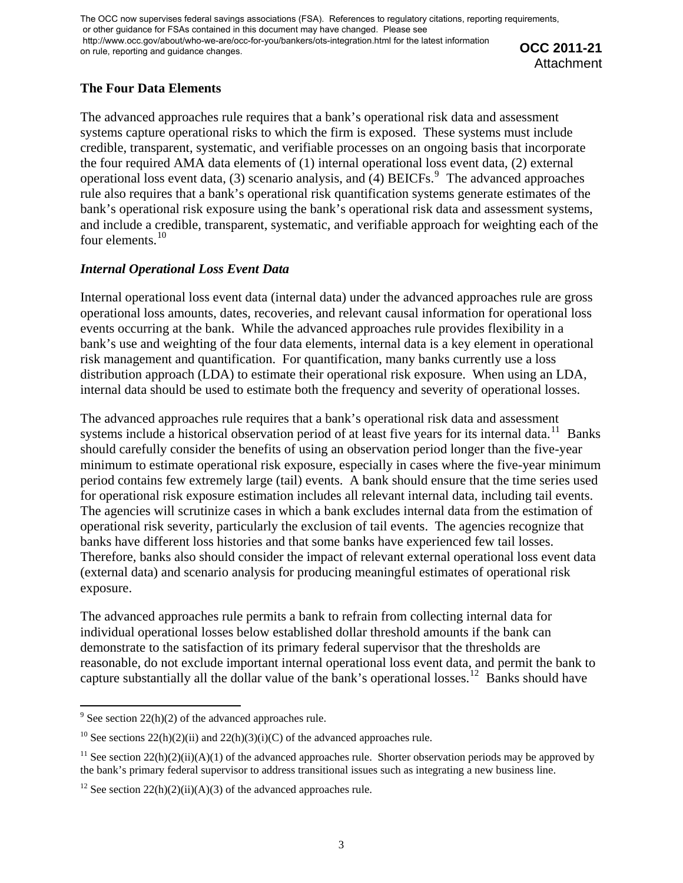**OCC 2011-21 Attachment** 

# **The Four Data Elements**

The advanced approaches rule requires that a bank's operational risk data and assessment systems capture operational risks to which the firm is exposed. These systems must include credible, transparent, systematic, and verifiable processes on an ongoing basis that incorporate the four required AMA data elements of (1) internal operational loss event data, (2) external operational loss event data, (3) scenario analysis, and (4) BEICFs.  $9$  The advanced approaches rule also requires that a bank's operational risk quantification systems generate estimates of the bank's operational risk exposure using the bank's operational risk data and assessment systems, and include a credible, transparent, systematic, and verifiable approach for weighting each of the four elements.<sup>[10](#page-2-1)</sup>

# *Internal Operational Loss Event Data*

Internal operational loss event data (internal data) under the advanced approaches rule are gross operational loss amounts, dates, recoveries, and relevant causal information for operational loss events occurring at the bank. While the advanced approaches rule provides flexibility in a bank's use and weighting of the four data elements, internal data is a key element in operational risk management and quantification. For quantification, many banks currently use a loss distribution approach (LDA) to estimate their operational risk exposure. When using an LDA, internal data should be used to estimate both the frequency and severity of operational losses.

The advanced approaches rule requires that a bank's operational risk data and assessment systems include a historical observation period of at least five years for its internal data.<sup>[11](#page-2-2)</sup> Banks should carefully consider the benefits of using an observation period longer than the five-year minimum to estimate operational risk exposure, especially in cases where the five-year minimum period contains few extremely large (tail) events. A bank should ensure that the time series used for operational risk exposure estimation includes all relevant internal data, including tail events. The agencies will scrutinize cases in which a bank excludes internal data from the estimation of operational risk severity, particularly the exclusion of tail events. The agencies recognize that banks have different loss histories and that some banks have experienced few tail losses. Therefore, banks also should consider the impact of relevant external operational loss event data (external data) and scenario analysis for producing meaningful estimates of operational risk exposure.

The advanced approaches rule permits a bank to refrain from collecting internal data for individual operational losses below established dollar threshold amounts if the bank can demonstrate to the satisfaction of its primary federal supervisor that the thresholds are reasonable, do not exclude important internal operational loss event data, and permit the bank to capture substantially all the dollar value of the bank's operational losses.<sup>[12](#page-2-3)</sup> Banks should have

<span id="page-2-0"></span><sup>&</sup>lt;sup>9</sup> See section 22(h)(2) of the advanced approaches rule.

<span id="page-2-1"></span><sup>&</sup>lt;sup>10</sup> See sections 22(h)(2)(ii) and 22(h)(3)(i)(C) of the advanced approaches rule.

<span id="page-2-2"></span><sup>&</sup>lt;sup>11</sup> See section  $22(h)(2)(ii)(A)(1)$  of the advanced approaches rule. Shorter observation periods may be approved by the bank's primary federal supervisor to address transitional issues such as integrating a new business line.

<span id="page-2-3"></span><sup>&</sup>lt;sup>12</sup> See section  $22(h)(2)(ii)(A)(3)$  of the advanced approaches rule.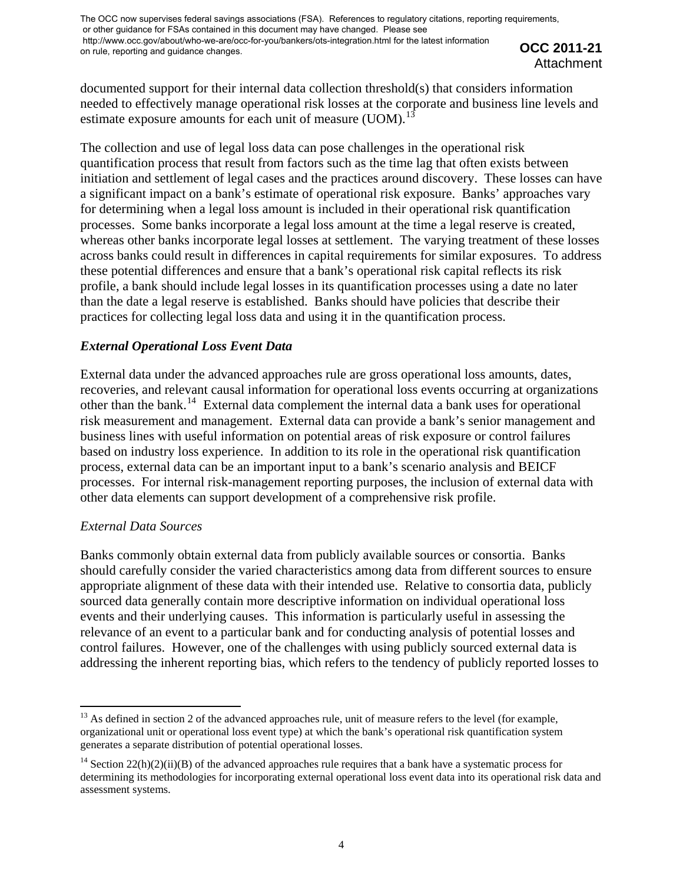**OCC 2011-21 Attachment** 

documented support for their internal data collection threshold(s) that considers information needed to effectively manage operational risk losses at the corporate and business line levels and estimate exposure amounts for each unit of measure (UOM).<sup>[13](#page-3-0)</sup>

The collection and use of legal loss data can pose challenges in the operational risk quantification process that result from factors such as the time lag that often exists between initiation and settlement of legal cases and the practices around discovery. These losses can have a significant impact on a bank's estimate of operational risk exposure. Banks' approaches vary for determining when a legal loss amount is included in their operational risk quantification processes. Some banks incorporate a legal loss amount at the time a legal reserve is created, whereas other banks incorporate legal losses at settlement. The varying treatment of these losses across banks could result in differences in capital requirements for similar exposures. To address these potential differences and ensure that a bank's operational risk capital reflects its risk profile, a bank should include legal losses in its quantification processes using a date no later than the date a legal reserve is established. Banks should have policies that describe their practices for collecting legal loss data and using it in the quantification process.

# *External Operational Loss Event Data*

External data under the advanced approaches rule are gross operational loss amounts, dates, recoveries, and relevant causal information for operational loss events occurring at organizations other than the bank.<sup>[14](#page-3-1)</sup> External data complement the internal data a bank uses for operational risk measurement and management. External data can provide a bank's senior management and business lines with useful information on potential areas of risk exposure or control failures based on industry loss experience. In addition to its role in the operational risk quantification process, external data can be an important input to a bank's scenario analysis and BEICF processes. For internal risk-management reporting purposes, the inclusion of external data with other data elements can support development of a comprehensive risk profile.

# *External Data Sources*

Banks commonly obtain external data from publicly available sources or consortia. Banks should carefully consider the varied characteristics among data from different sources to ensure appropriate alignment of these data with their intended use. Relative to consortia data, publicly sourced data generally contain more descriptive information on individual operational loss events and their underlying causes. This information is particularly useful in assessing the relevance of an event to a particular bank and for conducting analysis of potential losses and control failures. However, one of the challenges with using publicly sourced external data is addressing the inherent reporting bias, which refers to the tendency of publicly reported losses to

<span id="page-3-0"></span> <sup>13</sup> As defined in section 2 of the advanced approaches rule, unit of measure refers to the level (for example, organizational unit or operational loss event type) at which the bank's operational risk quantification system generates a separate distribution of potential operational losses.

<span id="page-3-1"></span><sup>&</sup>lt;sup>14</sup> Section  $22(h)(2)(ii)(B)$  of the advanced approaches rule requires that a bank have a systematic process for determining its methodologies for incorporating external operational loss event data into its operational risk data and assessment systems.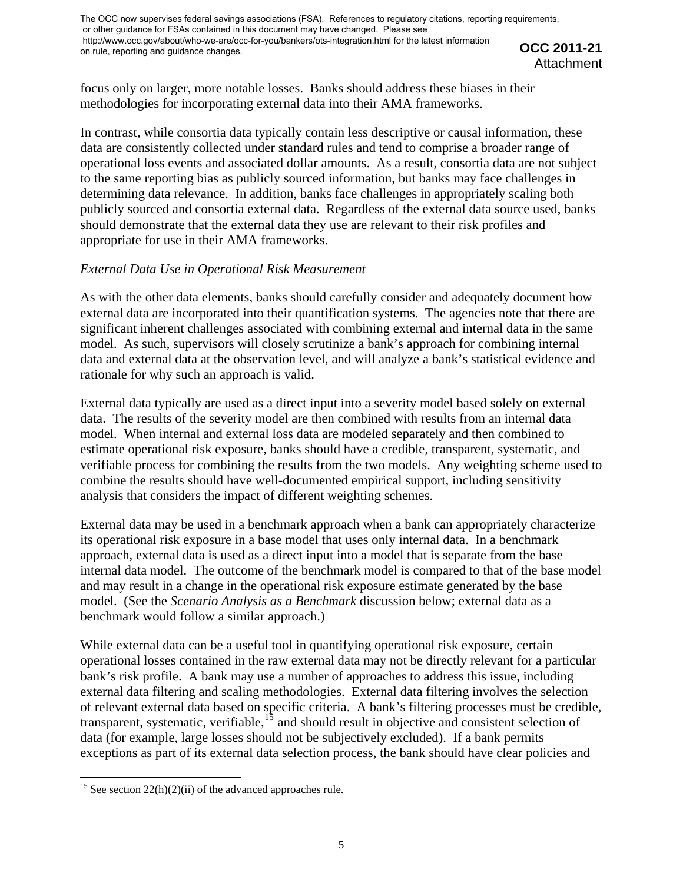**OCC 2011-21 Attachment** 

focus only on larger, more notable losses. Banks should address these biases in their methodologies for incorporating external data into their AMA frameworks.

In contrast, while consortia data typically contain less descriptive or causal information, these data are consistently collected under standard rules and tend to comprise a broader range of operational loss events and associated dollar amounts. As a result, consortia data are not subject to the same reporting bias as publicly sourced information, but banks may face challenges in determining data relevance. In addition, banks face challenges in appropriately scaling both publicly sourced and consortia external data. Regardless of the external data source used, banks should demonstrate that the external data they use are relevant to their risk profiles and appropriate for use in their AMA frameworks.

# *External Data Use in Operational Risk Measurement*

As with the other data elements, banks should carefully consider and adequately document how external data are incorporated into their quantification systems. The agencies note that there are significant inherent challenges associated with combining external and internal data in the same model. As such, supervisors will closely scrutinize a bank's approach for combining internal data and external data at the observation level, and will analyze a bank's statistical evidence and rationale for why such an approach is valid.

External data typically are used as a direct input into a severity model based solely on external data. The results of the severity model are then combined with results from an internal data model. When internal and external loss data are modeled separately and then combined to estimate operational risk exposure, banks should have a credible, transparent, systematic, and verifiable process for combining the results from the two models. Any weighting scheme used to combine the results should have well-documented empirical support, including sensitivity analysis that considers the impact of different weighting schemes.

External data may be used in a benchmark approach when a bank can appropriately characterize its operational risk exposure in a base model that uses only internal data. In a benchmark approach, external data is used as a direct input into a model that is separate from the base internal data model. The outcome of the benchmark model is compared to that of the base model and may result in a change in the operational risk exposure estimate generated by the base model. (See the *Scenario Analysis as a Benchmark* discussion below; external data as a benchmark would follow a similar approach.)

While external data can be a useful tool in quantifying operational risk exposure, certain operational losses contained in the raw external data may not be directly relevant for a particular bank's risk profile. A bank may use a number of approaches to address this issue, including external data filtering and scaling methodologies. External data filtering involves the selection of relevant external data based on specific criteria. A bank's filtering processes must be credible, transparent, systematic, verifiable,  $15$  and should result in objective and consistent selection of data (for example, large losses should not be subjectively excluded). If a bank permits exceptions as part of its external data selection process, the bank should have clear policies and

<span id="page-4-0"></span><sup>&</sup>lt;sup>15</sup> See section 22(h)(2)(ii) of the advanced approaches rule.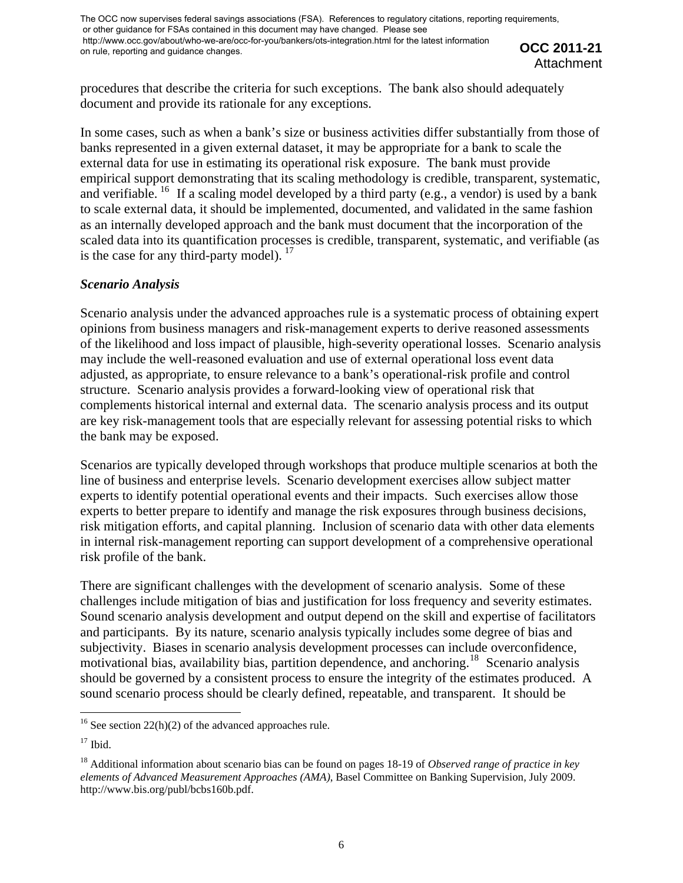**OCC 2011-21**  Attachment

procedures that describe the criteria for such exceptions. The bank also should adequately document and provide its rationale for any exceptions.

In some cases, such as when a bank's size or business activities differ substantially from those of banks represented in a given external dataset, it may be appropriate for a bank to scale the external data for use in estimating its operational risk exposure. The bank must provide empirical support demonstrating that its scaling methodology is credible, transparent, systematic, and verifiable. <sup>[16](#page-5-0)</sup> If a scaling model developed by a third party (e.g., a vendor) is used by a bank to scale external data, it should be implemented, documented, and validated in the same fashion as an internally developed approach and the bank must document that the incorporation of the scaled data into its quantification processes is credible, transparent, systematic, and verifiable (as is the case for any third-party model). <sup>[17](#page-5-1)</sup>

### *Scenario Analysis*

Scenario analysis under the advanced approaches rule is a systematic process of obtaining expert opinions from business managers and risk-management experts to derive reasoned assessments of the likelihood and loss impact of plausible, high-severity operational losses. Scenario analysis may include the well-reasoned evaluation and use of external operational loss event data adjusted, as appropriate, to ensure relevance to a bank's operational-risk profile and control structure. Scenario analysis provides a forward-looking view of operational risk that complements historical internal and external data. The scenario analysis process and its output are key risk-management tools that are especially relevant for assessing potential risks to which the bank may be exposed.

Scenarios are typically developed through workshops that produce multiple scenarios at both the line of business and enterprise levels. Scenario development exercises allow subject matter experts to identify potential operational events and their impacts. Such exercises allow those experts to better prepare to identify and manage the risk exposures through business decisions, risk mitigation efforts, and capital planning. Inclusion of scenario data with other data elements in internal risk-management reporting can support development of a comprehensive operational risk profile of the bank.

There are significant challenges with the development of scenario analysis. Some of these challenges include mitigation of bias and justification for loss frequency and severity estimates. Sound scenario analysis development and output depend on the skill and expertise of facilitators and participants. By its nature, scenario analysis typically includes some degree of bias and subjectivity. Biases in scenario analysis development processes can include overconfidence, motivational bias, availability bias, partition dependence, and anchoring.<sup>[18](#page-5-2)</sup> Scenario analysis should be governed by a consistent process to ensure the integrity of the estimates produced. A sound scenario process should be clearly defined, repeatable, and transparent. It should be

<span id="page-5-0"></span><sup>&</sup>lt;sup>16</sup> See section 22(h)(2) of the advanced approaches rule.

<span id="page-5-1"></span> $17$  Ibid.

<span id="page-5-2"></span><sup>18</sup> Additional information about scenario bias can be found on pages 18-19 of *Observed range of practice in key elements of Advanced Measurement Approaches (AMA)*, Basel Committee on Banking Supervision, July 2009. http://www.bis.org/publ/bcbs160b.pdf.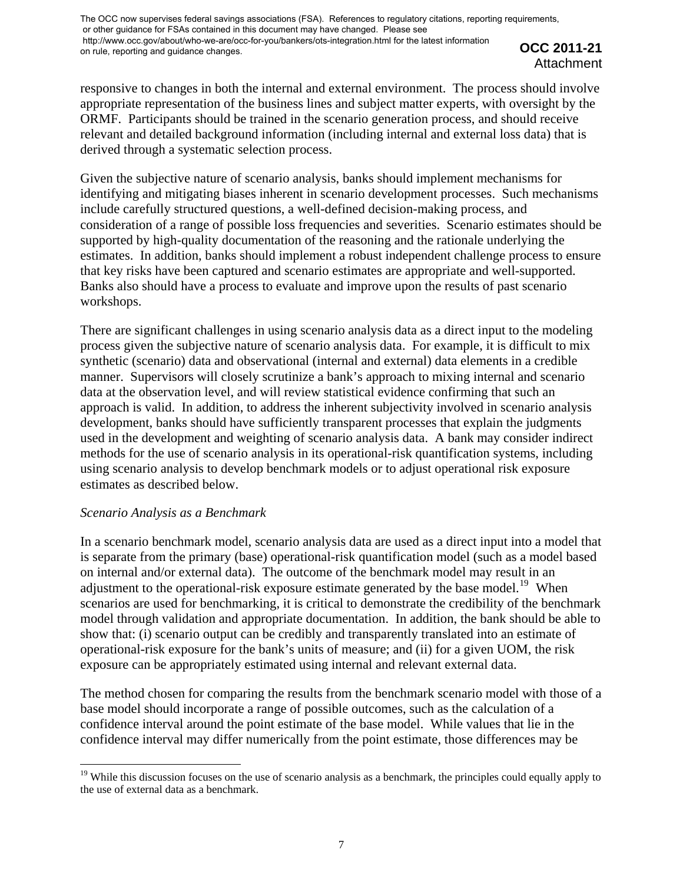**OCC 2011-21 Attachment** 

responsive to changes in both the internal and external environment. The process should involve appropriate representation of the business lines and subject matter experts, with oversight by the ORMF. Participants should be trained in the scenario generation process, and should receive relevant and detailed background information (including internal and external loss data) that is derived through a systematic selection process.

Given the subjective nature of scenario analysis, banks should implement mechanisms for identifying and mitigating biases inherent in scenario development processes. Such mechanisms include carefully structured questions, a well-defined decision-making process, and consideration of a range of possible loss frequencies and severities. Scenario estimates should be supported by high-quality documentation of the reasoning and the rationale underlying the estimates. In addition, banks should implement a robust independent challenge process to ensure that key risks have been captured and scenario estimates are appropriate and well-supported. Banks also should have a process to evaluate and improve upon the results of past scenario workshops.

There are significant challenges in using scenario analysis data as a direct input to the modeling process given the subjective nature of scenario analysis data. For example, it is difficult to mix synthetic (scenario) data and observational (internal and external) data elements in a credible manner. Supervisors will closely scrutinize a bank's approach to mixing internal and scenario data at the observation level, and will review statistical evidence confirming that such an approach is valid. In addition, to address the inherent subjectivity involved in scenario analysis development, banks should have sufficiently transparent processes that explain the judgments used in the development and weighting of scenario analysis data. A bank may consider indirect methods for the use of scenario analysis in its operational-risk quantification systems, including using scenario analysis to develop benchmark models or to adjust operational risk exposure estimates as described below.

#### *Scenario Analysis as a Benchmark*

In a scenario benchmark model, scenario analysis data are used as a direct input into a model that is separate from the primary (base) operational-risk quantification model (such as a model based on internal and/or external data). The outcome of the benchmark model may result in an adjustment to the operational-risk exposure estimate generated by the base model.<sup>[19](#page-6-0)</sup> When scenarios are used for benchmarking, it is critical to demonstrate the credibility of the benchmark model through validation and appropriate documentation. In addition, the bank should be able to show that: (i) scenario output can be credibly and transparently translated into an estimate of operational-risk exposure for the bank's units of measure; and (ii) for a given UOM, the risk exposure can be appropriately estimated using internal and relevant external data.

The method chosen for comparing the results from the benchmark scenario model with those of a base model should incorporate a range of possible outcomes, such as the calculation of a confidence interval around the point estimate of the base model. While values that lie in the confidence interval may differ numerically from the point estimate, those differences may be

<span id="page-6-0"></span><sup>&</sup>lt;sup>19</sup> While this discussion focuses on the use of scenario analysis as a benchmark, the principles could equally apply to the use of external data as a benchmark.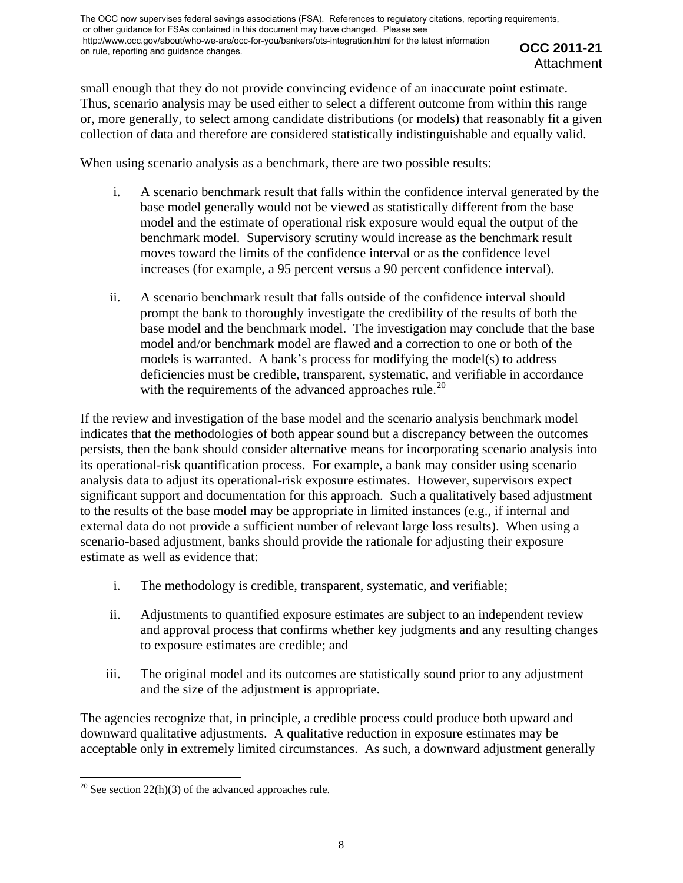**OCC 2011-21 Attachment** 

small enough that they do not provide convincing evidence of an inaccurate point estimate. Thus, scenario analysis may be used either to select a different outcome from within this range or, more generally, to select among candidate distributions (or models) that reasonably fit a given collection of data and therefore are considered statistically indistinguishable and equally valid.

When using scenario analysis as a benchmark, there are two possible results:

- i. A scenario benchmark result that falls within the confidence interval generated by the base model generally would not be viewed as statistically different from the base model and the estimate of operational risk exposure would equal the output of the benchmark model. Supervisory scrutiny would increase as the benchmark result moves toward the limits of the confidence interval or as the confidence level increases (for example, a 95 percent versus a 90 percent confidence interval).
- ii. A scenario benchmark result that falls outside of the confidence interval should prompt the bank to thoroughly investigate the credibility of the results of both the base model and the benchmark model. The investigation may conclude that the base model and/or benchmark model are flawed and a correction to one or both of the models is warranted. A bank's process for modifying the model(s) to address deficiencies must be credible, transparent, systematic, and verifiable in accordance with the requirements of the advanced approaches rule.<sup>[20](#page-7-0)</sup>

If the review and investigation of the base model and the scenario analysis benchmark model indicates that the methodologies of both appear sound but a discrepancy between the outcomes persists, then the bank should consider alternative means for incorporating scenario analysis into its operational-risk quantification process. For example, a bank may consider using scenario analysis data to adjust its operational-risk exposure estimates. However, supervisors expect significant support and documentation for this approach. Such a qualitatively based adjustment to the results of the base model may be appropriate in limited instances (e.g., if internal and external data do not provide a sufficient number of relevant large loss results). When using a scenario-based adjustment, banks should provide the rationale for adjusting their exposure estimate as well as evidence that:

- i. The methodology is credible, transparent, systematic, and verifiable;
- ii. Adjustments to quantified exposure estimates are subject to an independent review and approval process that confirms whether key judgments and any resulting changes to exposure estimates are credible; and
- iii. The original model and its outcomes are statistically sound prior to any adjustment and the size of the adjustment is appropriate.

The agencies recognize that, in principle, a credible process could produce both upward and downward qualitative adjustments. A qualitative reduction in exposure estimates may be acceptable only in extremely limited circumstances. As such, a downward adjustment generally

<span id="page-7-0"></span><sup>&</sup>lt;sup>20</sup> See section 22(h)(3) of the advanced approaches rule.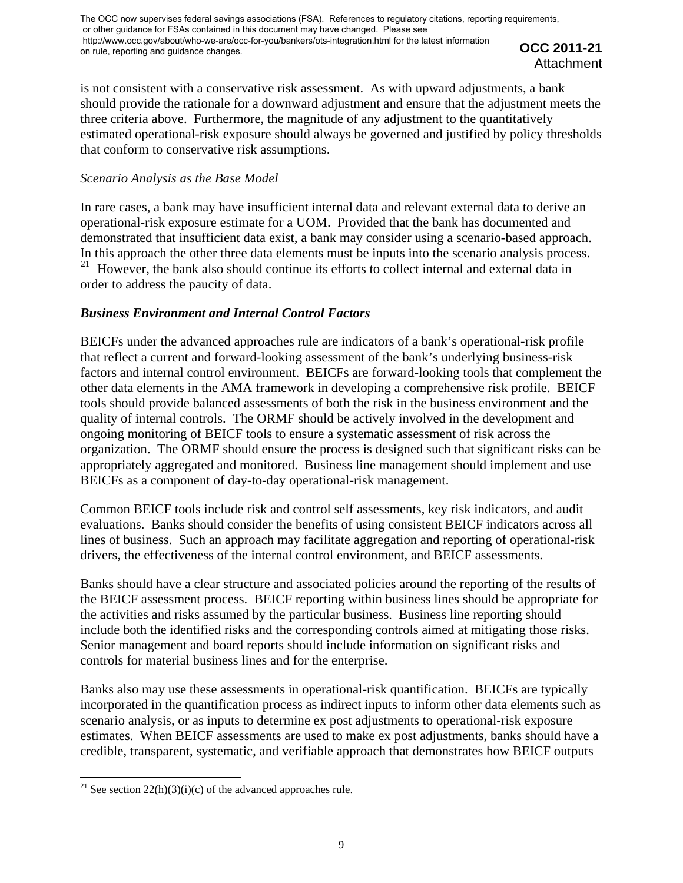**OCC 2011-21 Attachment** 

is not consistent with a conservative risk assessment. As with upward adjustments, a bank should provide the rationale for a downward adjustment and ensure that the adjustment meets the three criteria above. Furthermore, the magnitude of any adjustment to the quantitatively estimated operational-risk exposure should always be governed and justified by policy thresholds that conform to conservative risk assumptions.

### *Scenario Analysis as the Base Model*

In rare cases, a bank may have insufficient internal data and relevant external data to derive an operational-risk exposure estimate for a UOM. Provided that the bank has documented and demonstrated that insufficient data exist, a bank may consider using a scenario-based approach. In this approach the other three data elements must be inputs into the scenario analysis process.<br><sup>21</sup> However, the bank also should continue its efforts to collect internal and external data in However, the bank also should continue its efforts to collect internal and external data in order to address the paucity of data.

### *Business Environment and Internal Control Factors*

BEICFs under the advanced approaches rule are indicators of a bank's operational-risk profile that reflect a current and forward-looking assessment of the bank's underlying business-risk factors and internal control environment. BEICFs are forward-looking tools that complement the other data elements in the AMA framework in developing a comprehensive risk profile. BEICF tools should provide balanced assessments of both the risk in the business environment and the quality of internal controls. The ORMF should be actively involved in the development and ongoing monitoring of BEICF tools to ensure a systematic assessment of risk across the organization. The ORMF should ensure the process is designed such that significant risks can be appropriately aggregated and monitored. Business line management should implement and use BEICFs as a component of day-to-day operational-risk management.

Common BEICF tools include risk and control self assessments, key risk indicators, and audit evaluations. Banks should consider the benefits of using consistent BEICF indicators across all lines of business. Such an approach may facilitate aggregation and reporting of operational-risk drivers, the effectiveness of the internal control environment, and BEICF assessments.

Banks should have a clear structure and associated policies around the reporting of the results of the BEICF assessment process. BEICF reporting within business lines should be appropriate for the activities and risks assumed by the particular business. Business line reporting should include both the identified risks and the corresponding controls aimed at mitigating those risks. Senior management and board reports should include information on significant risks and controls for material business lines and for the enterprise.

Banks also may use these assessments in operational-risk quantification. BEICFs are typically incorporated in the quantification process as indirect inputs to inform other data elements such as scenario analysis, or as inputs to determine ex post adjustments to operational-risk exposure estimates. When BEICF assessments are used to make ex post adjustments, banks should have a credible, transparent, systematic, and verifiable approach that demonstrates how BEICF outputs

<span id="page-8-0"></span><sup>&</sup>lt;sup>21</sup> See section 22(h)(3)(i)(c) of the advanced approaches rule.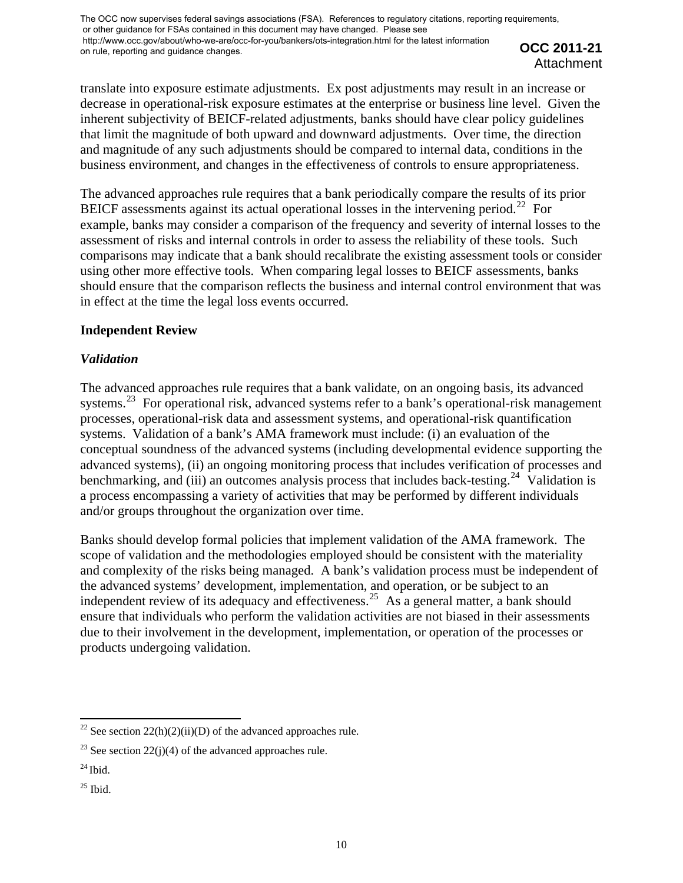translate into exposure estimate adjustments. Ex post adjustments may result in an increase or decrease in operational-risk exposure estimates at the enterprise or business line level. Given the inherent subjectivity of BEICF-related adjustments, banks should have clear policy guidelines that limit the magnitude of both upward and downward adjustments. Over time, the direction and magnitude of any such adjustments should be compared to internal data, conditions in the business environment, and changes in the effectiveness of controls to ensure appropriateness.

The advanced approaches rule requires that a bank periodically compare the results of its prior BEICF assessments against its actual operational losses in the intervening period.<sup>[22](#page-9-0)</sup> For example, banks may consider a comparison of the frequency and severity of internal losses to the assessment of risks and internal controls in order to assess the reliability of these tools. Such comparisons may indicate that a bank should recalibrate the existing assessment tools or consider using other more effective tools. When comparing legal losses to BEICF assessments, banks should ensure that the comparison reflects the business and internal control environment that was in effect at the time the legal loss events occurred.

# **Independent Review**

# *Validation*

The advanced approaches rule requires that a bank validate, on an ongoing basis, its advanced systems.<sup>[23](#page-9-1)</sup> For operational risk, advanced systems refer to a bank's operational-risk management processes, operational-risk data and assessment systems, and operational-risk quantification systems. Validation of a bank's AMA framework must include: (i) an evaluation of the conceptual soundness of the advanced systems (including developmental evidence supporting the advanced systems), (ii) an ongoing monitoring process that includes verification of processes and benchmarking, and (iii) an outcomes analysis process that includes back-testing.<sup>[24](#page-9-2)</sup> Validation is a process encompassing a variety of activities that may be performed by different individuals and/or groups throughout the organization over time.

Banks should develop formal policies that implement validation of the AMA framework. The scope of validation and the methodologies employed should be consistent with the materiality and complexity of the risks being managed. A bank's validation process must be independent of the advanced systems' development, implementation, and operation, or be subject to an independent review of its adequacy and effectiveness.<sup>[25](#page-9-3)</sup> As a general matter, a bank should ensure that individuals who perform the validation activities are not biased in their assessments due to their involvement in the development, implementation, or operation of the processes or products undergoing validation.

<span id="page-9-0"></span><sup>&</sup>lt;sup>22</sup> See section 22(h)(2)(ii)(D) of the advanced approaches rule.

<span id="page-9-1"></span><sup>&</sup>lt;sup>23</sup> See section 22(j)(4) of the advanced approaches rule.

<span id="page-9-2"></span> $^{24}$  Ibid.

<span id="page-9-3"></span> $25$  Ibid.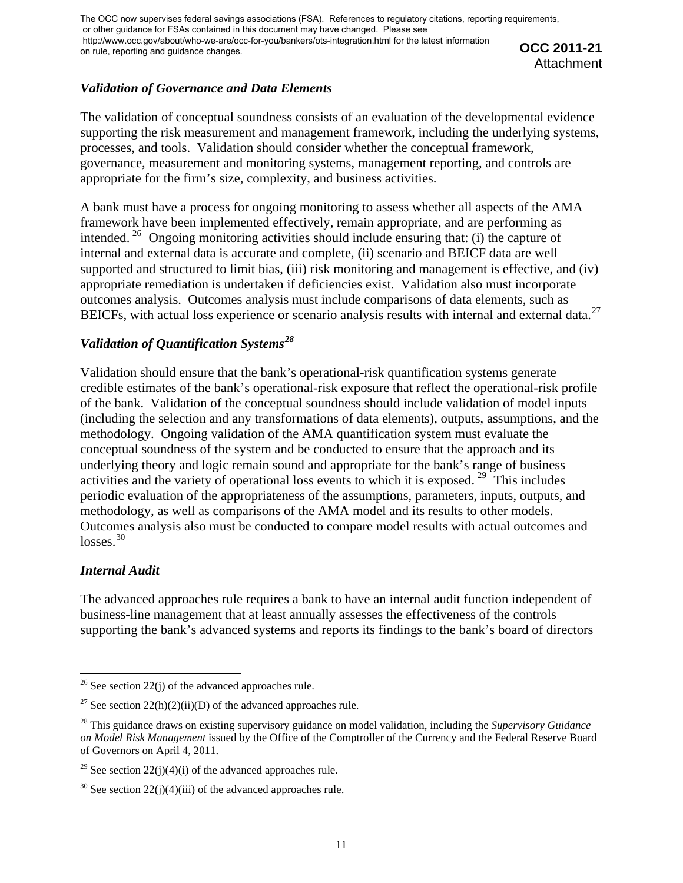**OCC 2011-21 Attachment** 

# *Validation of Governance and Data Elements*

The validation of conceptual soundness consists of an evaluation of the developmental evidence supporting the risk measurement and management framework, including the underlying systems, processes, and tools. Validation should consider whether the conceptual framework, governance, measurement and monitoring systems, management reporting, and controls are appropriate for the firm's size, complexity, and business activities.

A bank must have a process for ongoing monitoring to assess whether all aspects of the AMA framework have been implemented effectively, remain appropriate, and are performing as intended.<sup>[26](#page-10-0)</sup> Ongoing monitoring activities should include ensuring that: (i) the capture of internal and external data is accurate and complete, (ii) scenario and BEICF data are well supported and structured to limit bias, (iii) risk monitoring and management is effective, and (iv) appropriate remediation is undertaken if deficiencies exist. Validation also must incorporate outcomes analysis. Outcomes analysis must include comparisons of data elements, such as BEICFs, with actual loss experience or scenario analysis results with internal and external data.<sup>[27](#page-10-1)</sup>

# *Validation of Quantification Systems[28](#page-10-2)*

Validation should ensure that the bank's operational-risk quantification systems generate credible estimates of the bank's operational-risk exposure that reflect the operational-risk profile of the bank. Validation of the conceptual soundness should include validation of model inputs (including the selection and any transformations of data elements), outputs, assumptions, and the methodology. Ongoing validation of the AMA quantification system must evaluate the conceptual soundness of the system and be conducted to ensure that the approach and its underlying theory and logic remain sound and appropriate for the bank's range of business activities and the variety of operational loss events to which it is exposed. [29](#page-10-3) This includes periodic evaluation of the appropriateness of the assumptions, parameters, inputs, outputs, and methodology, as well as comparisons of the AMA model and its results to other models. Outcomes analysis also must be conducted to compare model results with actual outcomes and losses.<sup>[30](#page-10-4)</sup>

# *Internal Audit*

The advanced approaches rule requires a bank to have an internal audit function independent of business-line management that at least annually assesses the effectiveness of the controls supporting the bank's advanced systems and reports its findings to the bank's board of directors

<span id="page-10-0"></span> <sup>26</sup> See section 22(j) of the advanced approaches rule.

<span id="page-10-1"></span><sup>&</sup>lt;sup>27</sup> See section 22(h)(2)(ii)(D) of the advanced approaches rule.

<span id="page-10-2"></span><sup>28</sup> This guidance draws on existing supervisory guidance on model validation, including the *Supervisory Guidance on Model Risk Management* issued by the Office of the Comptroller of the Currency and the Federal Reserve Board of Governors on April 4, 2011.

<span id="page-10-3"></span><sup>&</sup>lt;sup>29</sup> See section 22(j)(4)(i) of the advanced approaches rule.

<span id="page-10-4"></span> $30$  See section 22(j)(4)(iii) of the advanced approaches rule.